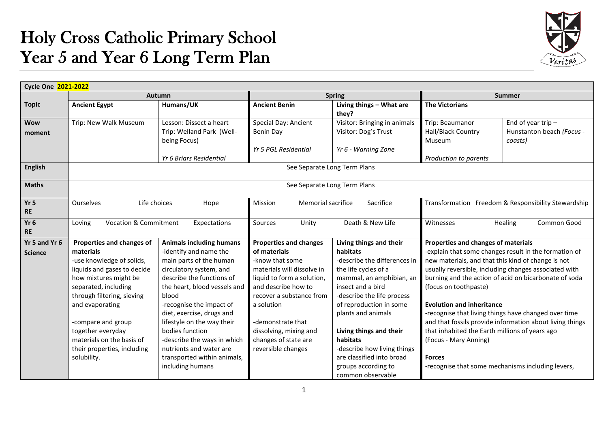## Holy Cross Catholic Primary School Year 5 and Year 6 Long Term Plan



| Cycle One 2021-2022             |                                                                                                                                                                                                                                                                                                                            |                                                                                                                                                                                                                                                                                                                                                                                                              |                                                                                                                                                                                                                                                                                            |                                                                                                                                                                                                                                                                                                                                                                            |                                                                                                                                                                                                                                                                                                         |                                                                                                                                                                                                                                                                                             |  |  |  |
|---------------------------------|----------------------------------------------------------------------------------------------------------------------------------------------------------------------------------------------------------------------------------------------------------------------------------------------------------------------------|--------------------------------------------------------------------------------------------------------------------------------------------------------------------------------------------------------------------------------------------------------------------------------------------------------------------------------------------------------------------------------------------------------------|--------------------------------------------------------------------------------------------------------------------------------------------------------------------------------------------------------------------------------------------------------------------------------------------|----------------------------------------------------------------------------------------------------------------------------------------------------------------------------------------------------------------------------------------------------------------------------------------------------------------------------------------------------------------------------|---------------------------------------------------------------------------------------------------------------------------------------------------------------------------------------------------------------------------------------------------------------------------------------------------------|---------------------------------------------------------------------------------------------------------------------------------------------------------------------------------------------------------------------------------------------------------------------------------------------|--|--|--|
|                                 |                                                                                                                                                                                                                                                                                                                            | <b>Autumn</b>                                                                                                                                                                                                                                                                                                                                                                                                |                                                                                                                                                                                                                                                                                            | <b>Spring</b>                                                                                                                                                                                                                                                                                                                                                              | <b>Summer</b>                                                                                                                                                                                                                                                                                           |                                                                                                                                                                                                                                                                                             |  |  |  |
| <b>Topic</b>                    | <b>Ancient Egypt</b>                                                                                                                                                                                                                                                                                                       | Humans/UK                                                                                                                                                                                                                                                                                                                                                                                                    | <b>Ancient Benin</b>                                                                                                                                                                                                                                                                       | Living things - What are<br>they?                                                                                                                                                                                                                                                                                                                                          | <b>The Victorians</b>                                                                                                                                                                                                                                                                                   |                                                                                                                                                                                                                                                                                             |  |  |  |
| <b>Wow</b><br>moment            | Trip: New Walk Museum                                                                                                                                                                                                                                                                                                      | Lesson: Dissect a heart<br>Trip: Welland Park (Well-<br>being Focus)<br>Yr 6 Briars Residential                                                                                                                                                                                                                                                                                                              | Special Day: Ancient<br>Benin Day<br>Yr 5 PGL Residential                                                                                                                                                                                                                                  | Visitor: Bringing in animals<br>Visitor: Dog's Trust<br>Yr 6 - Warning Zone                                                                                                                                                                                                                                                                                                | Trip: Beaumanor<br>Hall/Black Country<br>Museum<br>Production to parents                                                                                                                                                                                                                                | End of year trip $-$<br>Hunstanton beach (Focus -<br>coasts)                                                                                                                                                                                                                                |  |  |  |
| English                         |                                                                                                                                                                                                                                                                                                                            |                                                                                                                                                                                                                                                                                                                                                                                                              |                                                                                                                                                                                                                                                                                            | See Separate Long Term Plans                                                                                                                                                                                                                                                                                                                                               |                                                                                                                                                                                                                                                                                                         |                                                                                                                                                                                                                                                                                             |  |  |  |
| <b>Maths</b>                    |                                                                                                                                                                                                                                                                                                                            |                                                                                                                                                                                                                                                                                                                                                                                                              |                                                                                                                                                                                                                                                                                            | See Separate Long Term Plans                                                                                                                                                                                                                                                                                                                                               |                                                                                                                                                                                                                                                                                                         |                                                                                                                                                                                                                                                                                             |  |  |  |
| Yr <sub>5</sub><br><b>RE</b>    | Ourselves<br>Life choices<br>Hope                                                                                                                                                                                                                                                                                          |                                                                                                                                                                                                                                                                                                                                                                                                              | <b>Memorial sacrifice</b><br>Sacrifice<br>Mission                                                                                                                                                                                                                                          |                                                                                                                                                                                                                                                                                                                                                                            | Transformation Freedom & Responsibility Stewardship                                                                                                                                                                                                                                                     |                                                                                                                                                                                                                                                                                             |  |  |  |
| Yr <sub>6</sub><br><b>RE</b>    | Loving                                                                                                                                                                                                                                                                                                                     | <b>Vocation &amp; Commitment</b><br>Expectations                                                                                                                                                                                                                                                                                                                                                             |                                                                                                                                                                                                                                                                                            | Death & New Life                                                                                                                                                                                                                                                                                                                                                           | Witnesses<br>Healing<br>Common Good                                                                                                                                                                                                                                                                     |                                                                                                                                                                                                                                                                                             |  |  |  |
| Yr 5 and Yr 6<br><b>Science</b> | Properties and changes of<br>materials<br>-use knowledge of solids,<br>liquids and gases to decide<br>how mixtures might be<br>separated, including<br>through filtering, sieving<br>and evaporating<br>-compare and group<br>together everyday<br>materials on the basis of<br>their properties, including<br>solubility. | <b>Animals including humans</b><br>-identify and name the<br>main parts of the human<br>circulatory system, and<br>describe the functions of<br>the heart, blood vessels and<br>blood<br>-recognise the impact of<br>diet, exercise, drugs and<br>lifestyle on the way their<br>bodies function<br>-describe the ways in which<br>nutrients and water are<br>transported within animals,<br>including humans | <b>Properties and changes</b><br>of materials<br>-know that some<br>materials will dissolve in<br>liquid to form a solution,<br>and describe how to<br>recover a substance from<br>a solution<br>-demonstrate that<br>dissolving, mixing and<br>changes of state are<br>reversible changes | Living things and their<br>habitats<br>-describe the differences in<br>the life cycles of a<br>mammal, an amphibian, an<br>insect and a bird<br>-describe the life process<br>of reproduction in some<br>plants and animals<br>Living things and their<br>habitats<br>-describe how living things<br>are classified into broad<br>groups according to<br>common observable | Properties and changes of materials<br>new materials, and that this kind of change is not<br>(focus on toothpaste)<br><b>Evolution and inheritance</b><br>that inhabited the Earth millions of years ago<br>(Focus - Mary Anning)<br><b>Forces</b><br>-recognise that some mechanisms including levers, | -explain that some changes result in the formation of<br>usually reversible, including changes associated with<br>burning and the action of acid on bicarbonate of soda<br>-recognise that living things have changed over time<br>and that fossils provide information about living things |  |  |  |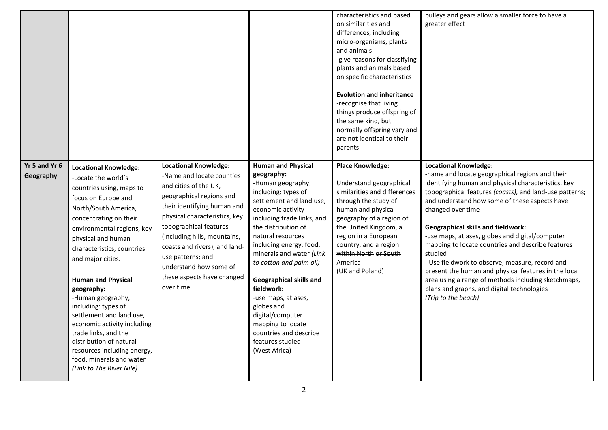|                            |                                                                                                                                                                                                                                                                                                                                                                                                                                                                                                                                                             |                                                                                                                                                                                                                                                                                                                                                                     |                                                                                                                                                                                                                                                                                                                                                                                                                                                                                        | characteristics and based<br>on similarities and<br>differences, including<br>micro-organisms, plants<br>and animals<br>-give reasons for classifying<br>plants and animals based<br>on specific characteristics<br><b>Evolution and inheritance</b><br>-recognise that living<br>things produce offspring of<br>the same kind, but<br>normally offspring vary and<br>are not identical to their<br>parents | pulleys and gears allow a smaller force to have a<br>greater effect                                                                                                                                                                                                                                                                                                                                                                                                                                                                                                                                                                                                            |
|----------------------------|-------------------------------------------------------------------------------------------------------------------------------------------------------------------------------------------------------------------------------------------------------------------------------------------------------------------------------------------------------------------------------------------------------------------------------------------------------------------------------------------------------------------------------------------------------------|---------------------------------------------------------------------------------------------------------------------------------------------------------------------------------------------------------------------------------------------------------------------------------------------------------------------------------------------------------------------|----------------------------------------------------------------------------------------------------------------------------------------------------------------------------------------------------------------------------------------------------------------------------------------------------------------------------------------------------------------------------------------------------------------------------------------------------------------------------------------|-------------------------------------------------------------------------------------------------------------------------------------------------------------------------------------------------------------------------------------------------------------------------------------------------------------------------------------------------------------------------------------------------------------|--------------------------------------------------------------------------------------------------------------------------------------------------------------------------------------------------------------------------------------------------------------------------------------------------------------------------------------------------------------------------------------------------------------------------------------------------------------------------------------------------------------------------------------------------------------------------------------------------------------------------------------------------------------------------------|
| Yr 5 and Yr 6<br>Geography | <b>Locational Knowledge:</b><br>-Locate the world's<br>countries using, maps to<br>focus on Europe and<br>North/South America,<br>concentrating on their<br>environmental regions, key<br>physical and human<br>characteristics, countries<br>and major cities.<br><b>Human and Physical</b><br>geography:<br>-Human geography,<br>including: types of<br>settlement and land use,<br>economic activity including<br>trade links, and the<br>distribution of natural<br>resources including energy,<br>food, minerals and water<br>(Link to The River Nile) | <b>Locational Knowledge:</b><br>-Name and locate counties<br>and cities of the UK,<br>geographical regions and<br>their identifying human and<br>physical characteristics, key<br>topographical features<br>(including hills, mountains,<br>coasts and rivers), and land-<br>use patterns; and<br>understand how some of<br>these aspects have changed<br>over time | <b>Human and Physical</b><br>geography:<br>-Human geography,<br>including: types of<br>settlement and land use,<br>economic activity<br>including trade links, and<br>the distribution of<br>natural resources<br>including energy, food,<br>minerals and water (Link<br>to cotton and palm oil)<br>Geographical skills and<br>fieldwork:<br>-use maps, atlases,<br>globes and<br>digital/computer<br>mapping to locate<br>countries and describe<br>features studied<br>(West Africa) | <b>Place Knowledge:</b><br>Understand geographical<br>similarities and differences<br>through the study of<br>human and physical<br>geography of a region of<br>the United Kingdom, a<br>region in a European<br>country, and a region<br>within North or South<br>America<br>(UK and Poland)                                                                                                               | <b>Locational Knowledge:</b><br>-name and locate geographical regions and their<br>identifying human and physical characteristics, key<br>topographical features (coasts), and land-use patterns;<br>and understand how some of these aspects have<br>changed over time<br><b>Geographical skills and fieldwork:</b><br>-use maps, atlases, globes and digital/computer<br>mapping to locate countries and describe features<br>studied<br>- Use fieldwork to observe, measure, record and<br>present the human and physical features in the local<br>area using a range of methods including sketchmaps,<br>plans and graphs, and digital technologies<br>(Trip to the beach) |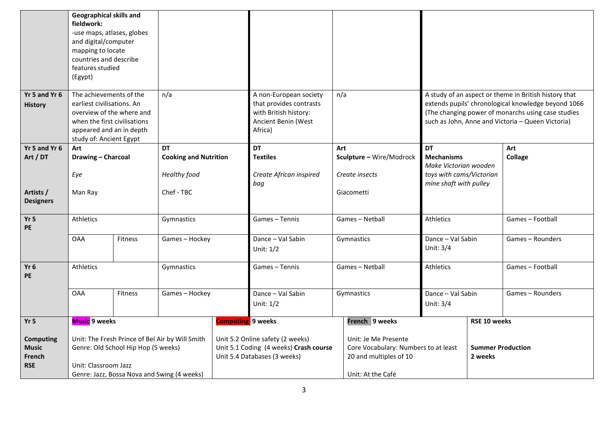|                                                          | <b>Geographical skills and</b><br>fieldwork:<br>-use maps, atlases, globes<br>and digital/computer<br>mapping to locate<br>countries and describe<br>features studied<br>(Egypt) |         |                              |                                                                                                                                                         |                                                                                                              |                                                                |                          |                                            |                                                                                                                                                                                                                         |                  |
|----------------------------------------------------------|----------------------------------------------------------------------------------------------------------------------------------------------------------------------------------|---------|------------------------------|---------------------------------------------------------------------------------------------------------------------------------------------------------|--------------------------------------------------------------------------------------------------------------|----------------------------------------------------------------|--------------------------|--------------------------------------------|-------------------------------------------------------------------------------------------------------------------------------------------------------------------------------------------------------------------------|------------------|
| Yr 5 and Yr 6<br><b>History</b>                          | The achievements of the<br>n/a<br>earliest civilisations. An<br>overview of the where and<br>when the first civilisations<br>appeared and an in depth<br>study of: Ancient Egypt |         |                              |                                                                                                                                                         | A non-European society<br>that provides contrasts<br>with British history:<br>Ancient Benin (West<br>Africa) | n/a                                                            |                          |                                            | A study of an aspect or theme in British history that<br>extends pupils' chronological knowledge beyond 1066<br>(The changing power of monarchs using case studies<br>such as John, Anne and Victoria - Queen Victoria) |                  |
| Yr 5 and Yr 6                                            | Art                                                                                                                                                                              |         | DT                           |                                                                                                                                                         | DT                                                                                                           | Art                                                            |                          | <b>DT</b>                                  |                                                                                                                                                                                                                         | Art              |
| Art / DT                                                 | Drawing - Charcoal                                                                                                                                                               |         | <b>Cooking and Nutrition</b> |                                                                                                                                                         | <b>Textiles</b>                                                                                              |                                                                | Sculpture - Wire/Modrock | <b>Mechanisms</b><br>Make Victorian wooden |                                                                                                                                                                                                                         | <b>Collage</b>   |
|                                                          | Eye                                                                                                                                                                              |         | Healthy food                 |                                                                                                                                                         | Create African inspired                                                                                      |                                                                | Create insects           | toys with cams/Victorian                   |                                                                                                                                                                                                                         |                  |
|                                                          |                                                                                                                                                                                  |         | bag                          |                                                                                                                                                         |                                                                                                              | mine shaft with pulley                                         |                          |                                            |                                                                                                                                                                                                                         |                  |
| Artists /<br><b>Designers</b>                            | Man Ray                                                                                                                                                                          |         | Chef - TBC                   |                                                                                                                                                         |                                                                                                              |                                                                | Giacometti               |                                            |                                                                                                                                                                                                                         |                  |
| Yr <sub>5</sub><br><b>PE</b>                             | <b>Athletics</b>                                                                                                                                                                 |         | Gymnastics                   |                                                                                                                                                         | Games - Tennis                                                                                               |                                                                | Games - Netball          | <b>Athletics</b>                           |                                                                                                                                                                                                                         | Games-Football   |
|                                                          | <b>OAA</b>                                                                                                                                                                       | Fitness | Games-Hockey                 |                                                                                                                                                         | Dance - Val Sabin<br>Unit: 1/2                                                                               |                                                                | Gymnastics               | Dance - Val Sabin<br>Unit: 3/4             |                                                                                                                                                                                                                         | Games-Rounders   |
| Yr <sub>6</sub><br><b>PE</b>                             | Athletics                                                                                                                                                                        |         | Gymnastics                   |                                                                                                                                                         | Games - Tennis                                                                                               |                                                                | Games - Netball          | <b>Athletics</b>                           |                                                                                                                                                                                                                         | Games - Football |
|                                                          | <b>OAA</b>                                                                                                                                                                       | Fitness | Games-Hockey                 |                                                                                                                                                         | Dance - Val Sabin<br>Unit: 1/2                                                                               |                                                                | Gymnastics               | Dance - Val Sabin<br>Unit: 3/4             |                                                                                                                                                                                                                         | Games - Rounders |
| Yr <sub>5</sub>                                          | <b>Music</b> 9 weeks                                                                                                                                                             |         |                              | <b>Computing</b> 9 weeks                                                                                                                                |                                                                                                              |                                                                | French 9 weeks           |                                            | RSE 10 weeks                                                                                                                                                                                                            |                  |
| <b>Computing</b><br><b>Music</b><br>French<br><b>RSE</b> | Unit: The Fresh Prince of Bel Air by Will Smith<br>Genre: Old School Hip Hop (5 weeks)<br>Unit: Classroom Jazz<br>Genre: Jazz, Bossa Nova and Swing (4 weeks)                    |         |                              | Unit 5.2 Online safety (2 weeks)<br>Unit: Je Me Presente<br>Unit 5.1 Coding (4 weeks) Crash course<br>Unit 5.4 Databases (3 weeks)<br>Unit: At the Café |                                                                                                              | Core Vocabulary: Numbers to at least<br>20 and multiples of 10 |                          | <b>Summer Production</b><br>2 weeks        |                                                                                                                                                                                                                         |                  |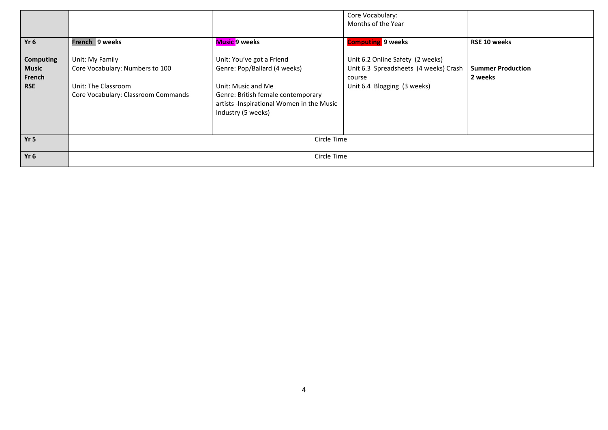|                                                          |                                                                                                                  |                                                                                                                                                                                          | Core Vocabulary:<br>Months of the Year                                                                             |                                     |  |  |  |  |
|----------------------------------------------------------|------------------------------------------------------------------------------------------------------------------|------------------------------------------------------------------------------------------------------------------------------------------------------------------------------------------|--------------------------------------------------------------------------------------------------------------------|-------------------------------------|--|--|--|--|
| Yr <sub>6</sub>                                          | French 9 weeks                                                                                                   | Music 9 weeks                                                                                                                                                                            | <b>Computing 9 weeks</b>                                                                                           | RSE 10 weeks                        |  |  |  |  |
| <b>Computing</b><br><b>Music</b><br>French<br><b>RSE</b> | Unit: My Family<br>Core Vocabulary: Numbers to 100<br>Unit: The Classroom<br>Core Vocabulary: Classroom Commands | Unit: You've got a Friend<br>Genre: Pop/Ballard (4 weeks)<br>Unit: Music and Me<br>Genre: British female contemporary<br>artists -Inspirational Women in the Music<br>Industry (5 weeks) | Unit 6.2 Online Safety (2 weeks)<br>Unit 6.3 Spreadsheets (4 weeks) Crash<br>course<br>Unit 6.4 Blogging (3 weeks) | <b>Summer Production</b><br>2 weeks |  |  |  |  |
| Yr <sub>5</sub>                                          | Circle Time                                                                                                      |                                                                                                                                                                                          |                                                                                                                    |                                     |  |  |  |  |
| Yr <sub>6</sub>                                          |                                                                                                                  | Circle Time                                                                                                                                                                              |                                                                                                                    |                                     |  |  |  |  |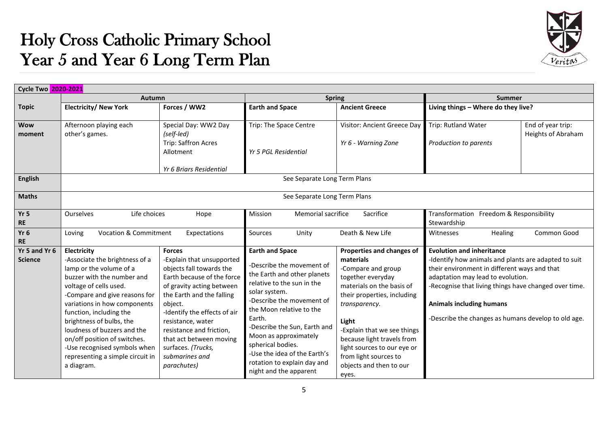## Holy Cross Catholic Primary School Year 5 and Year 6 Long Term Plan



|                 | <b>Cycle Two 2020-2021</b>                            |                                                        |                                                                        |                             |                                                                                            |                           |  |  |  |
|-----------------|-------------------------------------------------------|--------------------------------------------------------|------------------------------------------------------------------------|-----------------------------|--------------------------------------------------------------------------------------------|---------------------------|--|--|--|
|                 | Autumn                                                |                                                        | <b>Spring</b>                                                          |                             | <b>Summer</b>                                                                              |                           |  |  |  |
| <b>Topic</b>    | <b>Electricity/ New York</b>                          | Forces / WW2                                           | <b>Earth and Space</b>                                                 | <b>Ancient Greece</b>       | Living things - Where do they live?                                                        |                           |  |  |  |
|                 |                                                       |                                                        |                                                                        |                             |                                                                                            |                           |  |  |  |
| <b>Wow</b>      | Afternoon playing each                                | Special Day: WW2 Day                                   | Trip: The Space Centre                                                 | Visitor: Ancient Greece Day | Trip: Rutland Water                                                                        | End of year trip:         |  |  |  |
| moment          | other's games.                                        | (self-led)                                             |                                                                        |                             |                                                                                            | <b>Heights of Abraham</b> |  |  |  |
|                 |                                                       | Trip: Saffron Acres                                    |                                                                        | Yr 6 - Warning Zone         | Production to parents                                                                      |                           |  |  |  |
|                 |                                                       | Allotment                                              | Yr 5 PGL Residential                                                   |                             |                                                                                            |                           |  |  |  |
|                 |                                                       | Yr 6 Briars Residential                                |                                                                        |                             |                                                                                            |                           |  |  |  |
| <b>English</b>  |                                                       |                                                        |                                                                        |                             |                                                                                            |                           |  |  |  |
|                 | See Separate Long Term Plans                          |                                                        |                                                                        |                             |                                                                                            |                           |  |  |  |
| <b>Maths</b>    | See Separate Long Term Plans                          |                                                        |                                                                        |                             |                                                                                            |                           |  |  |  |
|                 |                                                       |                                                        |                                                                        |                             |                                                                                            |                           |  |  |  |
| Yr <sub>5</sub> | Life choices<br>Ourselves<br>Hope                     |                                                        | Sacrifice<br>Memorial sacrifice<br>Mission                             |                             | Transformation Freedom & Responsibility                                                    |                           |  |  |  |
| <b>RE</b>       |                                                       |                                                        |                                                                        |                             | Stewardship                                                                                |                           |  |  |  |
| Yr <sub>6</sub> | <b>Vocation &amp; Commitment</b><br>Loving            | Expectations                                           | Sources<br>Unity                                                       | Death & New Life            | Healing<br>Witnesses                                                                       | Common Good               |  |  |  |
| <b>RE</b>       |                                                       |                                                        |                                                                        |                             |                                                                                            |                           |  |  |  |
| Yr 5 and Yr 6   | Electricity                                           | <b>Forces</b>                                          | <b>Earth and Space</b>                                                 | Properties and changes of   | <b>Evolution and inheritance</b>                                                           |                           |  |  |  |
| <b>Science</b>  | -Associate the brightness of a                        | -Explain that unsupported                              | Describe the movement of                                               | materials                   | -Identify how animals and plants are adapted to suit                                       |                           |  |  |  |
|                 | lamp or the volume of a<br>buzzer with the number and | objects fall towards the<br>Earth because of the force | -Compare and group<br>the Earth and other planets<br>together everyday |                             | their environment in different ways and that                                               |                           |  |  |  |
|                 | voltage of cells used.                                | of gravity acting between                              | relative to the sun in the<br>materials on the basis of                |                             | adaptation may lead to evolution.<br>-Recognise that living things have changed over time. |                           |  |  |  |
|                 | -Compare and give reasons for                         | the Earth and the falling                              | solar system.                                                          | their properties, including |                                                                                            |                           |  |  |  |
|                 | variations in how components                          | object.                                                | -Describe the movement of                                              | transparency.               | <b>Animals including humans</b>                                                            |                           |  |  |  |
|                 | function, including the                               | -Identify the effects of air                           | the Moon relative to the                                               |                             |                                                                                            |                           |  |  |  |
|                 | brightness of bulbs, the                              | resistance, water                                      | Earth.                                                                 | Light                       | -Describe the changes as humans develop to old age.                                        |                           |  |  |  |
|                 | loudness of buzzers and the                           | resistance and friction,                               | -Describe the Sun, Earth and                                           | -Explain that we see things |                                                                                            |                           |  |  |  |
|                 | on/off position of switches.                          | that act between moving                                | Moon as approximately                                                  | because light travels from  |                                                                                            |                           |  |  |  |
|                 | -Use recognised symbols when<br>surfaces. (Trucks,    |                                                        | spherical bodies.                                                      | light sources to our eye or |                                                                                            |                           |  |  |  |
|                 | representing a simple circuit in                      | submarines and                                         | -Use the idea of the Earth's                                           | from light sources to       |                                                                                            |                           |  |  |  |
|                 | a diagram.                                            | parachutes)                                            | rotation to explain day and                                            | objects and then to our     |                                                                                            |                           |  |  |  |
|                 | night and the apparent                                |                                                        |                                                                        | eyes.                       |                                                                                            |                           |  |  |  |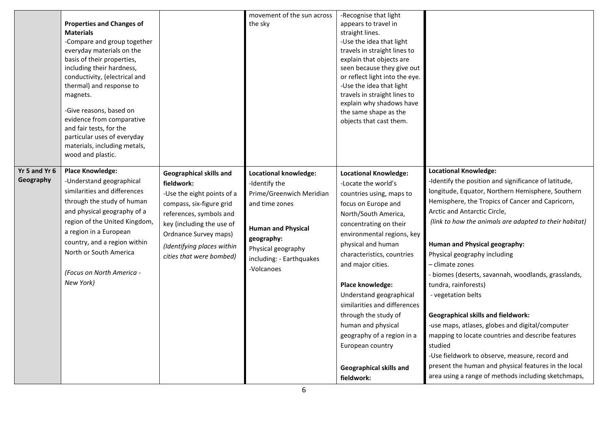|                            | <b>Properties and Changes of</b><br><b>Materials</b><br>-Compare and group together<br>everyday materials on the<br>basis of their properties,<br>including their hardness,<br>conductivity, (electrical and<br>thermal) and response to<br>magnets.<br>-Give reasons, based on<br>evidence from comparative<br>and fair tests, for the<br>particular uses of everyday<br>materials, including metals,<br>wood and plastic. |                                                                                                                                                                                                                                                   | movement of the sun across<br>the sky                                                                                                                                                           | -Recognise that light<br>appears to travel in<br>straight lines.<br>-Use the idea that light<br>travels in straight lines to<br>explain that objects are<br>seen because they give out<br>or reflect light into the eye.<br>-Use the idea that light<br>travels in straight lines to<br>explain why shadows have<br>the same shape as the<br>objects that cast them.                                                                                                                    |                                                                                                                                                                                                                                                                                                                                                                                                                                                                                                                                                                                                                                                                                                                                                                                                                   |
|----------------------------|-----------------------------------------------------------------------------------------------------------------------------------------------------------------------------------------------------------------------------------------------------------------------------------------------------------------------------------------------------------------------------------------------------------------------------|---------------------------------------------------------------------------------------------------------------------------------------------------------------------------------------------------------------------------------------------------|-------------------------------------------------------------------------------------------------------------------------------------------------------------------------------------------------|-----------------------------------------------------------------------------------------------------------------------------------------------------------------------------------------------------------------------------------------------------------------------------------------------------------------------------------------------------------------------------------------------------------------------------------------------------------------------------------------|-------------------------------------------------------------------------------------------------------------------------------------------------------------------------------------------------------------------------------------------------------------------------------------------------------------------------------------------------------------------------------------------------------------------------------------------------------------------------------------------------------------------------------------------------------------------------------------------------------------------------------------------------------------------------------------------------------------------------------------------------------------------------------------------------------------------|
| Yr 5 and Yr 6<br>Geography | <b>Place Knowledge:</b><br>-Understand geographical<br>similarities and differences<br>through the study of human<br>and physical geography of a<br>region of the United Kingdom,<br>a region in a European<br>country, and a region within<br>North or South America<br>(Focus on North America -<br>New York)                                                                                                             | <b>Geographical skills and</b><br>fieldwork:<br>-Use the eight points of a<br>compass, six-figure grid<br>references, symbols and<br>key (including the use of<br>Ordnance Survey maps)<br>(Identifying places within<br>cities that were bombed) | Locational knowledge:<br>-Identify the<br>Prime/Greenwich Meridian<br>and time zones<br><b>Human and Physical</b><br>geography:<br>Physical geography<br>including: - Earthquakes<br>-Volcanoes | <b>Locational Knowledge:</b><br>-Locate the world's<br>countries using, maps to<br>focus on Europe and<br>North/South America,<br>concentrating on their<br>environmental regions, key<br>physical and human<br>characteristics, countries<br>and major cities.<br>Place knowledge:<br>Understand geographical<br>similarities and differences<br>through the study of<br>human and physical<br>geography of a region in a<br>European country<br>Geographical skills and<br>fieldwork: | <b>Locational Knowledge:</b><br>-Identify the position and significance of latitude,<br>longitude, Equator, Northern Hemisphere, Southern<br>Hemisphere, the Tropics of Cancer and Capricorn,<br>Arctic and Antarctic Circle,<br>(link to how the animals are adapted to their habitat)<br>Human and Physical geography:<br>Physical geography including<br>- climate zones<br>- biomes (deserts, savannah, woodlands, grasslands,<br>tundra, rainforests)<br>- vegetation belts<br><b>Geographical skills and fieldwork:</b><br>-use maps, atlases, globes and digital/computer<br>mapping to locate countries and describe features<br>studied<br>-Use fieldwork to observe, measure, record and<br>present the human and physical features in the local<br>area using a range of methods including sketchmaps, |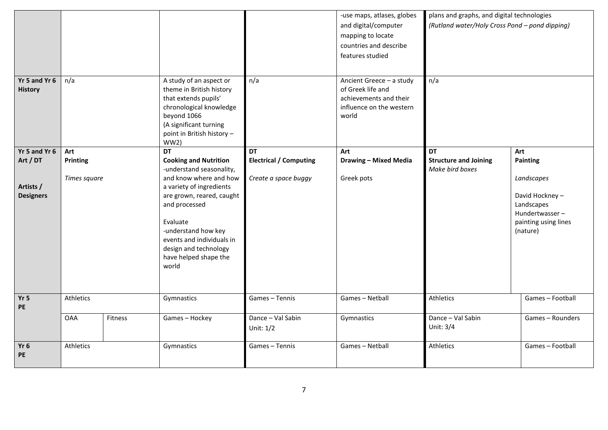|                                 |              |         |                                                                                                                                                                                                                                                         |                                  | -use maps, atlases, globes<br>and digital/computer<br>mapping to locate<br>countries and describe<br>features studied | plans and graphs, and digital technologies<br>(Rutland water/Holy Cross Pond - pond dipping) |                                                                                                  |
|---------------------------------|--------------|---------|---------------------------------------------------------------------------------------------------------------------------------------------------------------------------------------------------------------------------------------------------------|----------------------------------|-----------------------------------------------------------------------------------------------------------------------|----------------------------------------------------------------------------------------------|--------------------------------------------------------------------------------------------------|
| Yr 5 and Yr 6<br><b>History</b> | n/a          |         | A study of an aspect or<br>theme in British history<br>that extends pupils'<br>chronological knowledge<br>beyond 1066<br>(A significant turning<br>point in British history -<br>WW2)                                                                   | n/a                              | Ancient Greece - a study<br>of Greek life and<br>achievements and their<br>influence on the western<br>world          | n/a                                                                                          |                                                                                                  |
| Yr 5 and Yr 6                   | Art          |         | <b>DT</b>                                                                                                                                                                                                                                               | <b>DT</b>                        | Art                                                                                                                   | <b>DT</b>                                                                                    | Art                                                                                              |
| Art / DT                        | Printing     |         | <b>Cooking and Nutrition</b>                                                                                                                                                                                                                            | <b>Electrical / Computing</b>    | <b>Drawing - Mixed Media</b>                                                                                          | <b>Structure and Joining</b>                                                                 | Painting                                                                                         |
| Artists /<br><b>Designers</b>   | Times square |         | -understand seasonality,<br>and know where and how<br>a variety of ingredients<br>are grown, reared, caught<br>and processed<br>Evaluate<br>-understand how key<br>events and individuals in<br>design and technology<br>have helped shape the<br>world | Create a space buggy             | Greek pots                                                                                                            | Make bird boxes                                                                              | Landscapes<br>David Hockney-<br>Landscapes<br>Hundertwasser-<br>painting using lines<br>(nature) |
| Yr <sub>5</sub><br>PE           | Athletics    |         | Gymnastics                                                                                                                                                                                                                                              | Games - Tennis                   | Games - Netball                                                                                                       | Athletics                                                                                    | Games - Football                                                                                 |
|                                 | <b>OAA</b>   | Fitness | Games-Hockey                                                                                                                                                                                                                                            | Dance - Val Sabin<br>Unit: $1/2$ | Gymnastics                                                                                                            | Dance - Val Sabin<br>Unit: 3/4                                                               | Games - Rounders                                                                                 |
| Yr <sub>6</sub><br>PE           | Athletics    |         | Gymnastics                                                                                                                                                                                                                                              | Games - Tennis                   | Games - Netball                                                                                                       | Athletics                                                                                    | Games-Football                                                                                   |